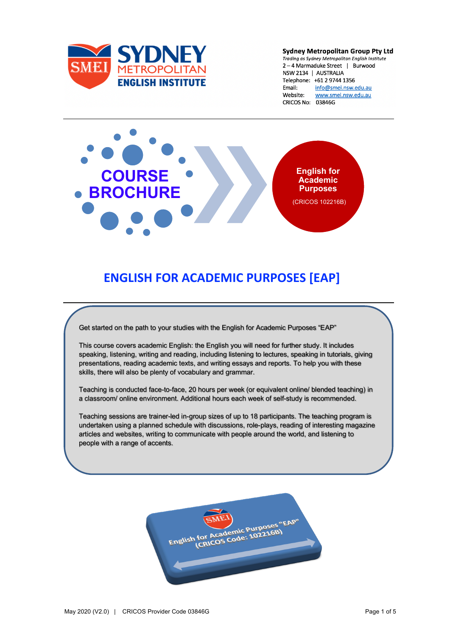

**Sydney Metropolitan Group Pty Ltd** Trading as Sydney Metropolitan English Institute 2-4 Marmaduke Street | Burwood NSW 2134 | AUSTRALIA Telephone: +61 2 9744 1356 info@smei.nsw.edu.au Fmail: Website: www.smei.nsw.edu.au CRICOS No: 03846G



# **ENGLISH FOR ACADEMIC PURPOSES [EAP]**

Get started on the path to your studies with the English for Academic Purposes "EAP"

This course covers academic English: the English you will need for further study. It includes speaking, listening, writing and reading, including listening to lectures, speaking in tutorials, giving presentations, reading academic texts, and writing essays and reports. To help you with these skills, there will also be plenty of vocabulary and grammar.

Teaching is conducted face-to-face, 20 hours per week (or equivalent online/ blended teaching) in a classroom/ online environment. Additional hours each week of self-study is recommended.

Teaching sessions are trainer-led in-group sizes of up to 18 participants. The teaching program is undertaken using a planned schedule with discussions, role-plays, reading of interesting magazine articles and websites, writing to communicate with people around the world, and listening to people with a range of accents.

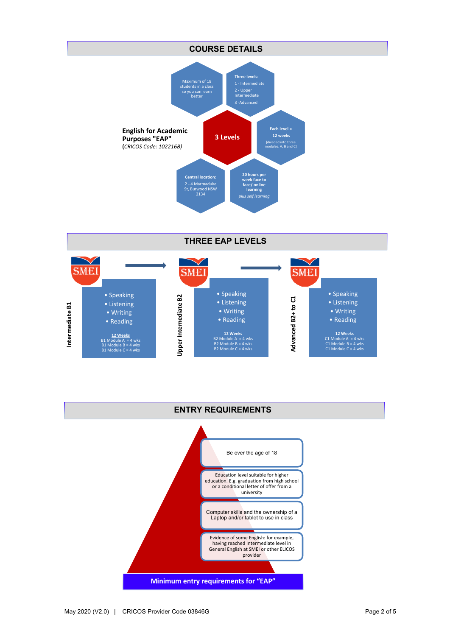### **COURSE DETAILS Three levels:** 1 - Intermediate 2 - Upper Intermediate 3 -Advanced **English for Academic Purposes "EAP" (***CRICOS Code: 102216B)* Maximum of 18 students in a class so you can learn better **3 Levels Each level = 12 weeks** [diveded into three modules: A, B and C] **20 hours per week face to face/ online learning**  *plus self learning* **Central location:**  2 - 4 Marmaduke St, Burwood NSW 2134

**THREE EAP LEVELS**



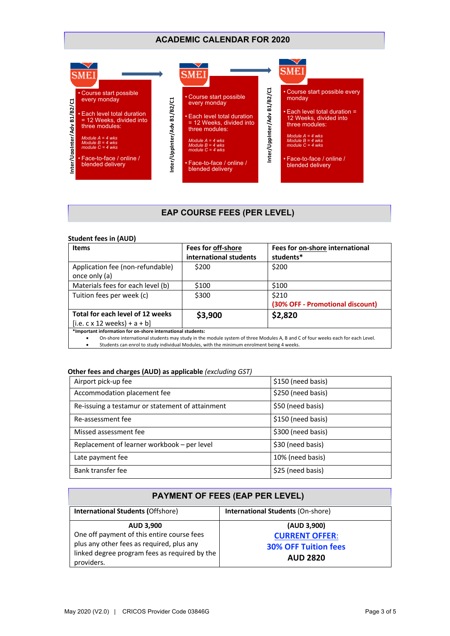## **ACADEMIC CALENDAR FOR 2020**



## **EAP COURSE FEES (PER LEVEL)**

#### **Student fees in (AUD)**

| <b>Items</b>                                                                                                                  | Fees for off-shore     | Fees for on-shore international  |
|-------------------------------------------------------------------------------------------------------------------------------|------------------------|----------------------------------|
|                                                                                                                               | international students | students*                        |
| Application fee (non-refundable)                                                                                              | \$200                  | \$200                            |
| once only (a)                                                                                                                 |                        |                                  |
| Materials fees for each level (b)                                                                                             | \$100                  | \$100                            |
| Tuition fees per week (c)                                                                                                     | \$300                  | \$210                            |
|                                                                                                                               |                        | (30% OFF - Promotional discount) |
| Total for each level of 12 weeks                                                                                              | \$3,900                | \$2,820                          |
| $[i.e. c \times 12$ weeks) + a + b]                                                                                           |                        |                                  |
| *Important information for on-shore international students:                                                                   |                        |                                  |
| On-shore international students may study in the module system of three Modules A, B and C of four weeks each for each Level. |                        |                                  |

• Students can enrol to study individual Modules, with the minimum enrolment being 4 weeks.

#### **Other fees and charges (AUD) as applicable** *(excluding GST)*

| Airport pick-up fee                              | \$150 (need basis) |
|--------------------------------------------------|--------------------|
| Accommodation placement fee                      | \$250 (need basis) |
| Re-issuing a testamur or statement of attainment | \$50 (need basis)  |
| Re-assessment fee                                | \$150 (need basis) |
| Missed assessment fee                            | \$300 (need basis) |
| Replacement of learner workbook - per level      | \$30 (need basis)  |
| Late payment fee                                 | 10% (need basis)   |
| Bank transfer fee                                | \$25 (need basis)  |

# **PAYMENT OF FEES (EAP PER LEVEL)**

| <b>International Students (Offshore)</b>                                                                                                                                   | <b>International Students (On-shore)</b>                                               |
|----------------------------------------------------------------------------------------------------------------------------------------------------------------------------|----------------------------------------------------------------------------------------|
| <b>AUD 3,900</b><br>One off payment of this entire course fees<br>plus any other fees as required, plus any<br>linked degree program fees as required by the<br>providers. | (AUD 3,900)<br><b>CURRENT OFFER:</b><br><b>30% OFF Tuition fees</b><br><b>AUD 2820</b> |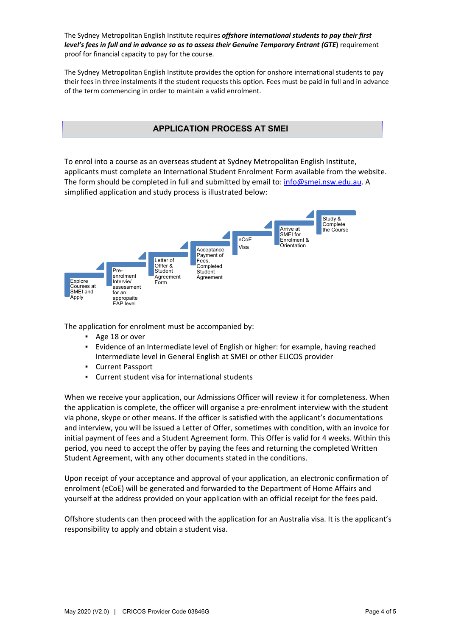The Sydney Metropolitan English Institute requires *offshore international students to pay their first level's fees in full and in advance so as to assess their Genuine Temporary Entrant (GTE***)** requirement proof for financial capacity to pay for the course.

The Sydney Metropolitan English Institute provides the option for onshore international students to pay their fees in three instalments if the student requests this option. Fees must be paid in full and in advance of the term commencing in order to maintain a valid enrolment.

## **APPLICATION PROCESS AT SMEI**

To enrol into a course as an overseas student at Sydney Metropolitan English Institute, applicants must complete an International Student Enrolment Form available from the website. The form should be completed in full and submitted by email to: info@smei.nsw.edu.au. A simplified application and study process is illustrated below:



The application for enrolment must be accompanied by:

- Age 18 or over
- Evidence of an Intermediate level of English or higher: for example, having reached Intermediate level in General English at SMEI or other ELICOS provider
- Current Passport
- Current student visa for international students

When we receive your application, our Admissions Officer will review it for completeness. When the application is complete, the officer will organise a pre-enrolment interview with the student via phone, skype or other means. If the officer is satisfied with the applicant's documentations and interview, you will be issued a Letter of Offer, sometimes with condition, with an invoice for initial payment of fees and a Student Agreement form. This Offer is valid for 4 weeks. Within this period, you need to accept the offer by paying the fees and returning the completed Written Student Agreement, with any other documents stated in the conditions.

Upon receipt of your acceptance and approval of your application, an electronic confirmation of enrolment (eCoE) will be generated and forwarded to the Department of Home Affairs and yourself at the address provided on your application with an official receipt for the fees paid.

Offshore students can then proceed with the application for an Australia visa. It is the applicant's responsibility to apply and obtain a student visa.